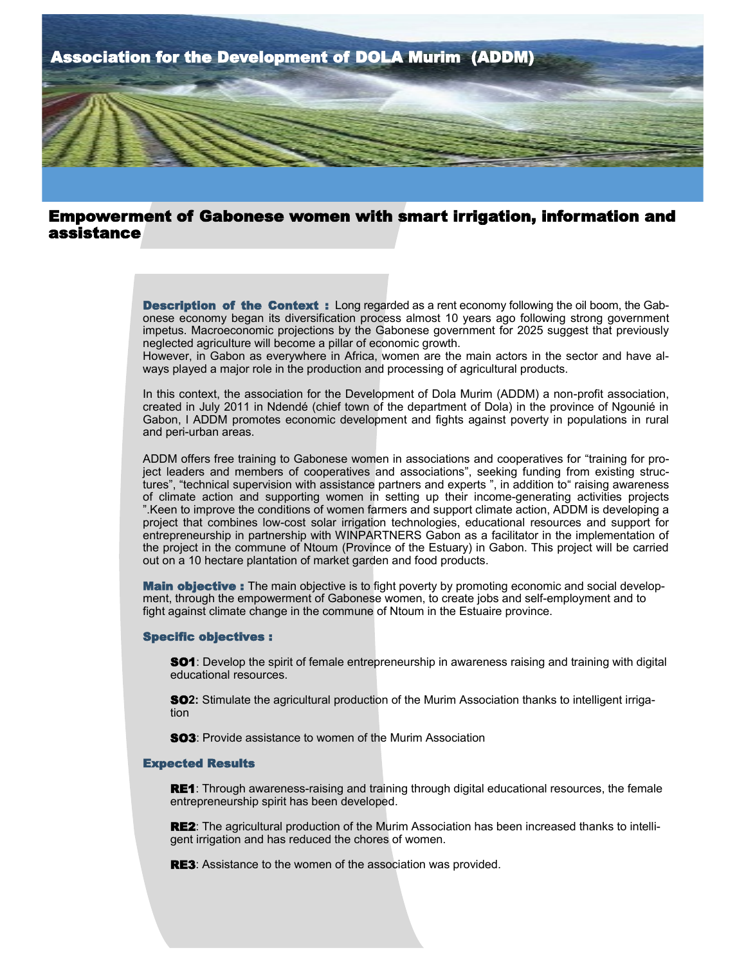

# Empowerment of Gabonese women with smart irrigation, information and assistance

**Description of the Context:** Long regarded as a rent economy following the oil boom, the Gabonese economy began its diversification process almost 10 years ago following strong government impetus. Macroeconomic projections by the Gabonese government for 2025 suggest that previously neglected agriculture will become a pillar of economic growth.

However, in Gabon as everywhere in Africa, women are the main actors in the sector and have always played a major role in the production and processing of agricultural products.

In this context, the association for the Development of Dola Murim (ADDM) a non-profit association, created in July 2011 in Ndendé (chief town of the department of Dola) in the province of Ngounié in Gabon, l ADDM promotes economic development and fights against poverty in populations in rural and peri-urban areas.

ADDM offers free training to Gabonese women in associations and cooperatives for "training for project leaders and members of cooperatives and associations", seeking funding from existing structures", "technical supervision with assistance partners and experts ", in addition to" raising awareness of climate action and supporting women in setting up their income-generating activities projects ".Keen to improve the conditions of women farmers and support climate action, ADDM is developing a project that combines low-cost solar irrigation technologies, educational resources and support for entrepreneurship in partnership with WINPARTNERS Gabon as a facilitator in the implementation of the project in the commune of Ntoum (Province of the Estuary) in Gabon. This project will be carried out on a 10 hectare plantation of market garden and food products.

**Main objective:** The main objective is to fight poverty by promoting economic and social development, through the empowerment of Gabonese women, to create jobs and self-employment and to fight against climate change in the commune of Ntoum in the Estuaire province.

### Specific objectives :

**SO1**: Develop the spirit of female entrepreneurship in awareness raising and training with digital educational resources.

SO**2:** Stimulate the agricultural production of the Murim Association thanks to intelligent irrigation

SO3: Provide assistance to women of the Murim Association

#### Expected Results

RE1: Through awareness-raising and training through digital educational resources, the female entrepreneurship spirit has been developed.

**RE2:** The agricultural production of the Murim Association has been increased thanks to intelligent irrigation and has reduced the chores of women.

**RE3**: Assistance to the women of the association was provided.